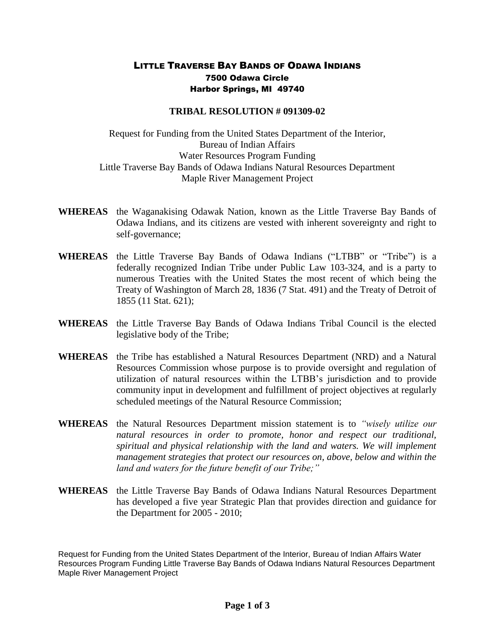## LITTLE TRAVERSE BAY BANDS OF ODAWA INDIANS 7500 Odawa Circle Harbor Springs, MI 49740

## **TRIBAL RESOLUTION # 091309-02**

Request for Funding from the United States Department of the Interior, Bureau of Indian Affairs Water Resources Program Funding Little Traverse Bay Bands of Odawa Indians Natural Resources Department Maple River Management Project

- **WHEREAS** the Waganakising Odawak Nation, known as the Little Traverse Bay Bands of Odawa Indians, and its citizens are vested with inherent sovereignty and right to self-governance;
- **WHEREAS** the Little Traverse Bay Bands of Odawa Indians ("LTBB" or "Tribe") is a federally recognized Indian Tribe under Public Law 103-324, and is a party to numerous Treaties with the United States the most recent of which being the Treaty of Washington of March 28, 1836 (7 Stat. 491) and the Treaty of Detroit of 1855 (11 Stat. 621);
- **WHEREAS** the Little Traverse Bay Bands of Odawa Indians Tribal Council is the elected legislative body of the Tribe;
- **WHEREAS** the Tribe has established a Natural Resources Department (NRD) and a Natural Resources Commission whose purpose is to provide oversight and regulation of utilization of natural resources within the LTBB's jurisdiction and to provide community input in development and fulfillment of project objectives at regularly scheduled meetings of the Natural Resource Commission;
- **WHEREAS** the Natural Resources Department mission statement is to *"wisely utilize our natural resources in order to promote, honor and respect our traditional, spiritual and physical relationship with the land and waters. We will implement management strategies that protect our resources on, above, below and within the land and waters for the future benefit of our Tribe;"*
- **WHEREAS** the Little Traverse Bay Bands of Odawa Indians Natural Resources Department has developed a five year Strategic Plan that provides direction and guidance for the Department for 2005 - 2010;

Request for Funding from the United States Department of the Interior, Bureau of Indian Affairs Water Resources Program Funding Little Traverse Bay Bands of Odawa Indians Natural Resources Department Maple River Management Project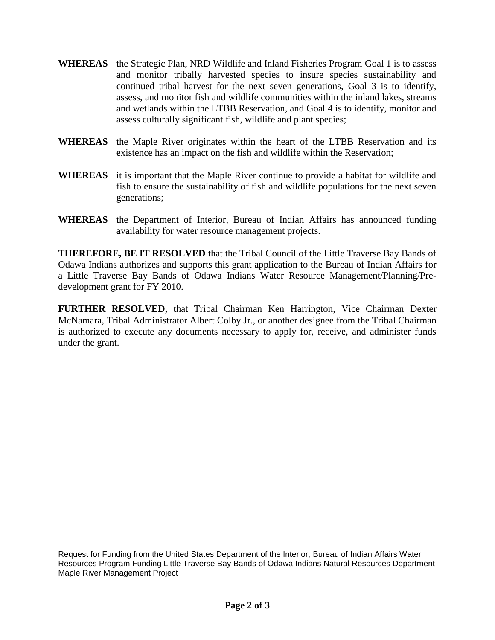- **WHEREAS** the Strategic Plan, NRD Wildlife and Inland Fisheries Program Goal 1 is to assess and monitor tribally harvested species to insure species sustainability and continued tribal harvest for the next seven generations, Goal 3 is to identify, assess, and monitor fish and wildlife communities within the inland lakes, streams and wetlands within the LTBB Reservation, and Goal 4 is to identify, monitor and assess culturally significant fish, wildlife and plant species;
- **WHEREAS** the Maple River originates within the heart of the LTBB Reservation and its existence has an impact on the fish and wildlife within the Reservation;
- **WHEREAS** it is important that the Maple River continue to provide a habitat for wildlife and fish to ensure the sustainability of fish and wildlife populations for the next seven generations;
- **WHEREAS** the Department of Interior, Bureau of Indian Affairs has announced funding availability for water resource management projects.

**THEREFORE, BE IT RESOLVED** that the Tribal Council of the Little Traverse Bay Bands of Odawa Indians authorizes and supports this grant application to the Bureau of Indian Affairs for a Little Traverse Bay Bands of Odawa Indians Water Resource Management/Planning/Predevelopment grant for FY 2010.

**FURTHER RESOLVED,** that Tribal Chairman Ken Harrington, Vice Chairman Dexter McNamara, Tribal Administrator Albert Colby Jr., or another designee from the Tribal Chairman is authorized to execute any documents necessary to apply for, receive, and administer funds under the grant.

Request for Funding from the United States Department of the Interior, Bureau of Indian Affairs Water Resources Program Funding Little Traverse Bay Bands of Odawa Indians Natural Resources Department Maple River Management Project